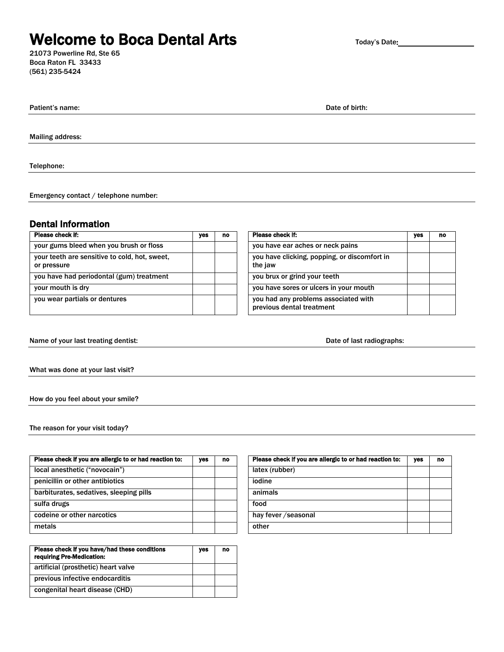# **Welcome to Boca Dental Arts**

21073 Powerline Rd, Ste 65 Boca Raton FL 33433 (561) 235-5424

| Today's Date: |  |
|---------------|--|
|---------------|--|

**Patient's name:** Date of birth: Date of birth: Date of birth: Date of birth: Date of birth: Date of birth: Date of birth: Date of birth: Date of birth: Date of birth: Date of birth: Date of birth: Date of birth: Date of b

Mailing address:

Telephone:

Emergency contact / telephone number:

### Dental Information

| Please check if:                                             | yes | no | Please check if:                                                  | ves | no |
|--------------------------------------------------------------|-----|----|-------------------------------------------------------------------|-----|----|
| your gums bleed when you brush or floss                      |     |    | you have ear aches or neck pains                                  |     |    |
| your teeth are sensitive to cold, hot, sweet,<br>or pressure |     |    | you have clicking, popping, or discomfort in<br>the jaw           |     |    |
| you have had periodontal (gum) treatment                     |     |    | you brux or grind your teeth                                      |     |    |
| your mouth is dry                                            |     |    | you have sores or ulcers in your mouth                            |     |    |
| you wear partials or dentures                                |     |    | you had any problems associated with<br>previous dental treatment |     |    |

| Please check if:                                                  | yes | no |
|-------------------------------------------------------------------|-----|----|
| you have ear aches or neck pains                                  |     |    |
| you have clicking, popping, or discomfort in<br>the jaw           |     |    |
| you brux or grind your teeth                                      |     |    |
| you have sores or ulcers in your mouth                            |     |    |
| you had any problems associated with<br>previous dental treatment |     |    |

Name of your last treating dentist: Name of your last treating dentist: Date of last radiographs:

What was done at your last visit?

How do you feel about your smile?

The reason for your visit today?

| Please check if you are allergic to or had reaction to: | yes | no | Please check if you are allergic to or had reaction to: | yes | no |
|---------------------------------------------------------|-----|----|---------------------------------------------------------|-----|----|
| local anesthetic ("novocain")                           |     |    | latex (rubber)                                          |     |    |
| penicillin or other antibiotics                         |     |    | iodine                                                  |     |    |
| barbiturates, sedatives, sleeping pills                 |     |    | animals                                                 |     |    |
| sulfa drugs                                             |     |    | food                                                    |     |    |
| codeine or other narcotics                              |     |    | hay fever / seasonal                                    |     |    |
| metals                                                  |     |    | other                                                   |     |    |

| Please check if you have/had these conditions<br>requiring Pre-Medication: | yes | no |
|----------------------------------------------------------------------------|-----|----|
| artificial (prosthetic) heart valve                                        |     |    |
| previous infective endocarditis                                            |     |    |
| congenital heart disease (CHD)                                             |     |    |

| Please check if you are allergic to or had reaction to: | yes | no |
|---------------------------------------------------------|-----|----|
| latex (rubber)                                          |     |    |
| iodine                                                  |     |    |
| animals                                                 |     |    |
| food                                                    |     |    |
| hay fever / seasonal                                    |     |    |
| other                                                   |     |    |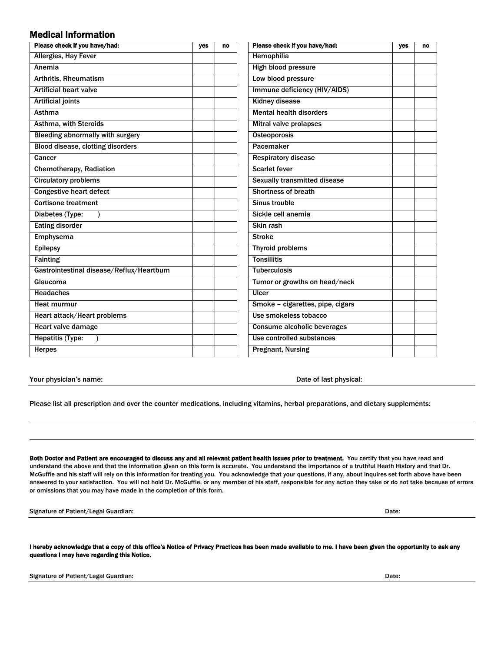### Medical Information

| Please check if you have/had:             | yes | no | Please check if you have/had:    | yes | no |
|-------------------------------------------|-----|----|----------------------------------|-----|----|
| <b>Allergies, Hay Fever</b>               |     |    | <b>Hemophilia</b>                |     |    |
| Anemia                                    |     |    | High blood pressure              |     |    |
| Arthritis, Rheumatism                     |     |    | Low blood pressure               |     |    |
| <b>Artificial heart valve</b>             |     |    | Immune deficiency (HIV/AIDS)     |     |    |
| <b>Artificial joints</b>                  |     |    | <b>Kidney disease</b>            |     |    |
| Asthma                                    |     |    | <b>Mental health disorders</b>   |     |    |
| <b>Asthma, with Steroids</b>              |     |    | <b>Mitral valve prolapses</b>    |     |    |
| Bleeding abnormally with surgery          |     |    | Osteoporosis                     |     |    |
| Blood disease, clotting disorders         |     |    | Pacemaker                        |     |    |
| Cancer                                    |     |    | <b>Respiratory disease</b>       |     |    |
| <b>Chemotherapy, Radiation</b>            |     |    | <b>Scarlet fever</b>             |     |    |
| <b>Circulatory problems</b>               |     |    | Sexually transmitted disease     |     |    |
| <b>Congestive heart defect</b>            |     |    | <b>Shortness of breath</b>       |     |    |
| <b>Cortisone treatment</b>                |     |    | Sinus trouble                    |     |    |
| Diabetes (Type:                           |     |    | Sickle cell anemia               |     |    |
| <b>Eating disorder</b>                    |     |    | Skin rash                        |     |    |
| <b>Emphysema</b>                          |     |    | <b>Stroke</b>                    |     |    |
| <b>Epilepsy</b>                           |     |    | <b>Thyroid problems</b>          |     |    |
| <b>Fainting</b>                           |     |    | <b>Tonsillitis</b>               |     |    |
| Gastrointestinal disease/Reflux/Heartburn |     |    | <b>Tuberculosis</b>              |     |    |
| Glaucoma                                  |     |    | Tumor or growths on head/neck    |     |    |
| <b>Headaches</b>                          |     |    | Ulcer                            |     |    |
| Heat murmur                               |     |    | Smoke - cigarettes, pipe, cigars |     |    |
| Heart attack/Heart problems               |     |    | Use smokeless tobacco            |     |    |
| Heart valve damage                        |     |    | Consume alcoholic beverages      |     |    |
| <b>Hepatitis (Type:</b>                   |     |    | Use controlled substances        |     |    |
| <b>Herpes</b>                             |     |    | <b>Pregnant, Nursing</b>         |     |    |

Your physician's name:  $\blacksquare$  Date of last physical:

Please list all prescription and over the counter medications, including vitamins, herbal preparations, and dietary supplements:

Both Doctor and Patient are encouraged to discuss any and all relevant patient health issues prior to treatment. You certify that you have read and understand the above and that the information given on this form is accurate. You understand the importance of a truthful Heath History and that Dr. McGuffie and his staff will rely on this information for treating you. You acknowledge that your questions, if any, about inquires set forth above have been answered to your satisfaction. You will not hold Dr. McGuffie, or any member of his staff, responsible for any action they take or do not take because of errors or omissions that you may have made in the completion of this form.

Signature of Patient/Legal Guardian: **Date: Communist Communist Communist Communist Communist Communist Communist Communist Communist Communist Communist Communist Communist Communist Communist Communist Communist Communis** 

I hereby acknowledge that a copy of this office's Notice of Privacy Practices has been made available to me. I have been given the opportunity to ask any questions I may have regarding this Notice.